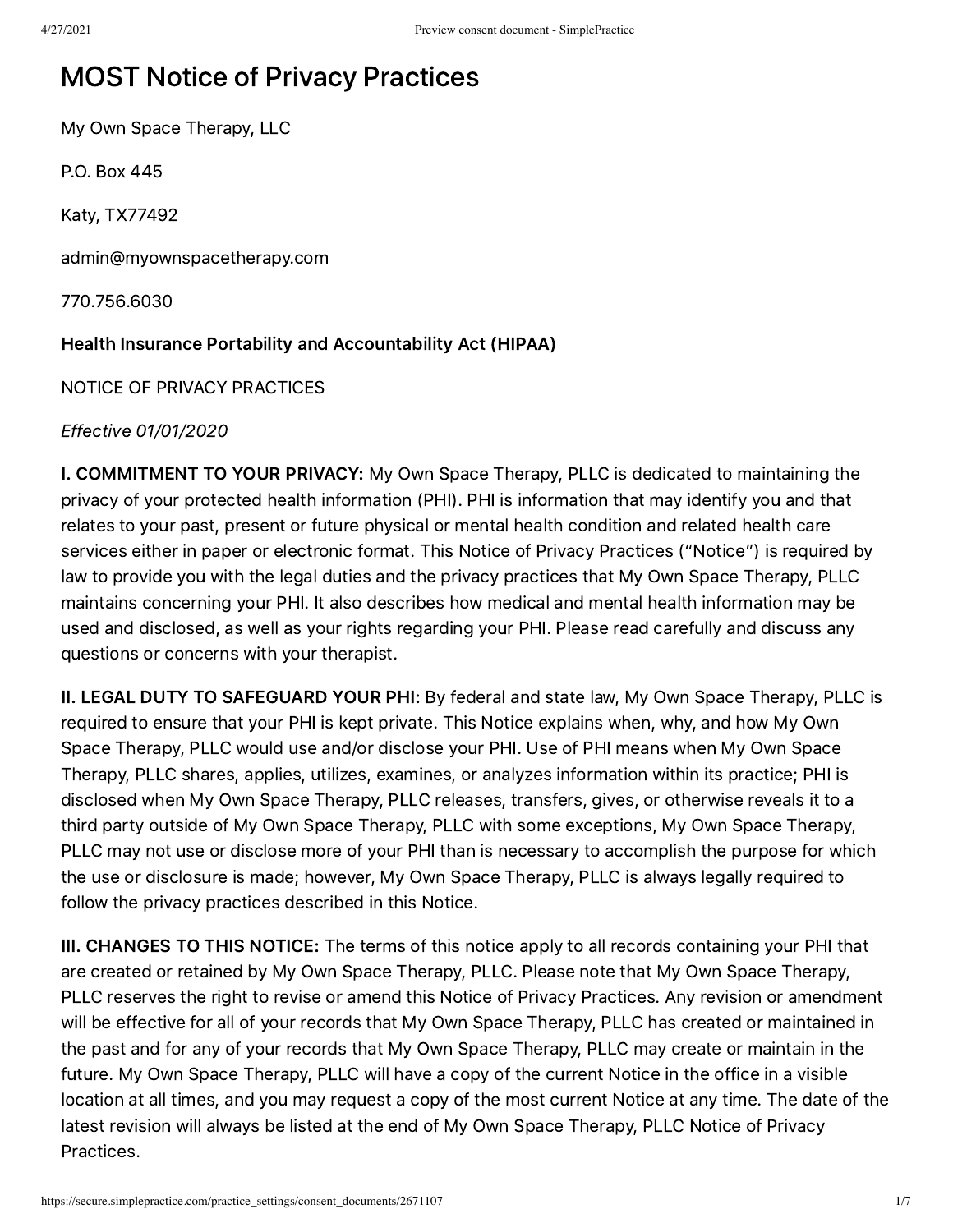# MOST Notice of Privacy Practices

My Own Space Therapy, LLC

P.O. Box 445

Katy, TX77492

admin@myownspacetherapy.com

770.756.6030

### Health Insurance Portability and Accountability Act (HIPAA)

NOTICE OF PRIVACY PRACTICES

Effective 01/01/2020

I. COMMITMENT TO YOUR PRIVACY: My Own Space Therapy, PLLC is dedicated to maintaining the privacy of your protected health information (PHI). PHI is information that may identify you and that relates to your past, present or future physical or mental health condition and related health care services either in paper or electronic format. This Notice of Privacy Practices ("Notice") is required by law to provide you with the legal duties and the privacy practices that My Own Space Therapy, PLLC maintains concerning your PHI. It also describes how medical and mental health information may be used and disclosed, as well as your rights regarding your PHI. Please read carefully and discuss any questions or concerns with your therapist.

II. LEGAL DUTY TO SAFEGUARD YOUR PHI: By federal and state law, My Own Space Therapy, PLLC is required to ensure that your PHI is kept private. This Notice explains when, why, and how My Own Space Therapy, PLLC would use and/or disclose your PHI. Use of PHI means when My Own Space Therapy, PLLC shares, applies, utilizes, examines, or analyzes information within its practice; PHI is disclosed when My Own Space Therapy, PLLC releases, transfers, gives, or otherwise reveals it to a third party outside of My Own Space Therapy, PLLC with some exceptions, My Own Space Therapy, PLLC may not use or disclose more of your PHI than is necessary to accomplish the purpose for which the use or disclosure is made; however, My Own Space Therapy, PLLC is always legally required to follow the privacy practices described in this Notice.

III. CHANGES TO THIS NOTICE: The terms of this notice apply to all records containing your PHI that are created or retained by My Own Space Therapy, PLLC. Please note that My Own Space Therapy, PLLC reserves the right to revise or amend this Notice of Privacy Practices. Any revision or amendment will be effective for all of your records that My Own Space Therapy, PLLC has created or maintained in the past and for any of your records that My Own Space Therapy, PLLC may create or maintain in the future. My Own Space Therapy, PLLC will have a copy of the current Notice in the office in a visible location at all times, and you may request a copy of the most current Notice at any time. The date of the latest revision will always be listed at the end of My Own Space Therapy, PLLC Notice of Privacy Practices.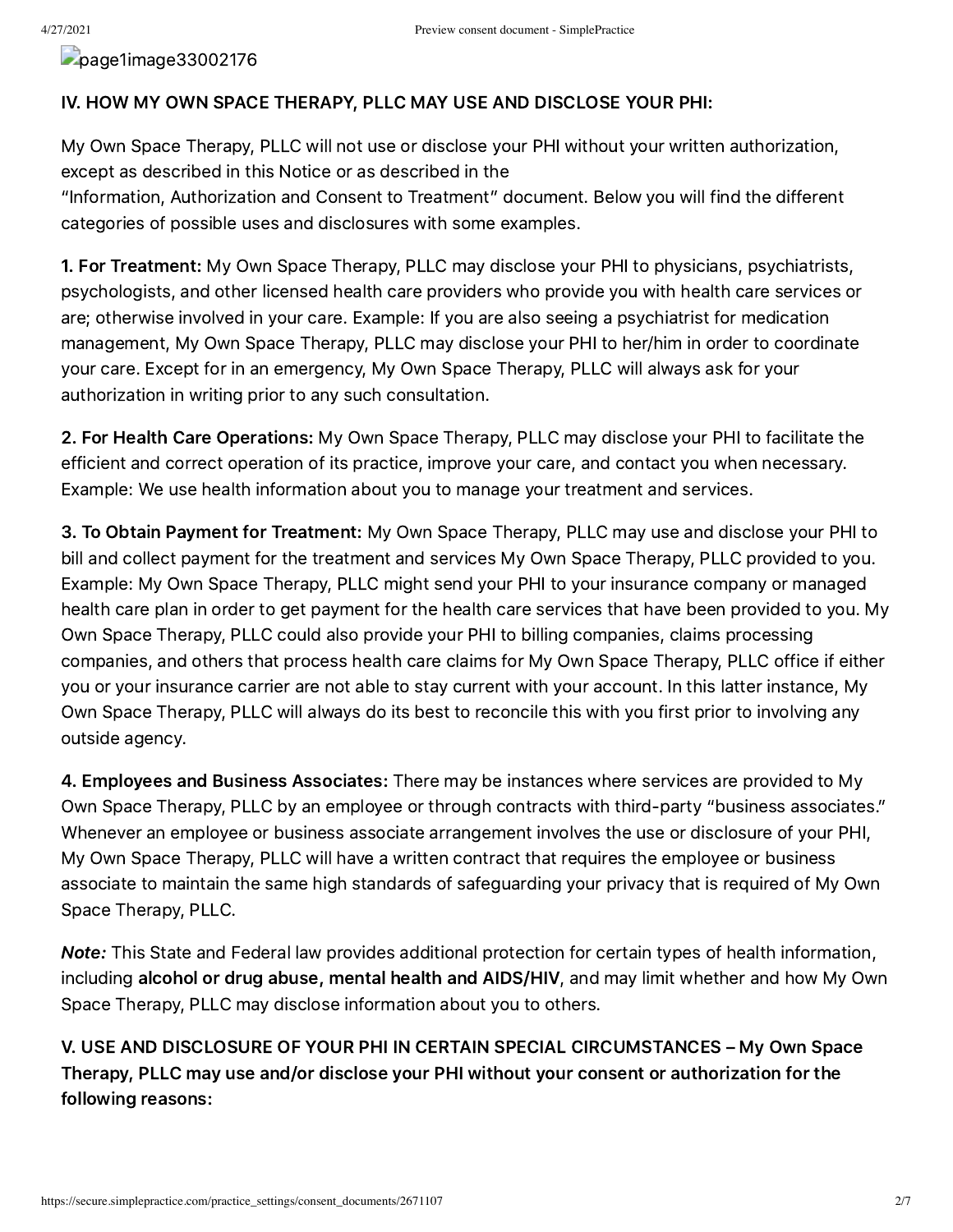page1image33002176

#### IV. HOW MY OWN SPACE THERAPY, PLLC MAY USE AND DISCLOSE YOUR PHI:

My Own Space Therapy, PLLC will not use or disclose your PHI without your written authorization, except as described in this Notice or as described in the

"Information, Authorization and Consent to Treatment" document. Below you will find the different categories of possible uses and disclosures with some examples.

1. For Treatment: My Own Space Therapy, PLLC may disclose your PHI to physicians, psychiatrists, psychologists, and other licensed health care providers who provide you with health care services or are; otherwise involved in your care. Example: If you are also seeing a psychiatrist for medication management, My Own Space Therapy, PLLC may disclose your PHI to her/him in order to coordinate your care. Except for in an emergency, My Own Space Therapy, PLLC will always ask for your authorization in writing prior to any such consultation.

2. For Health Care Operations: My Own Space Therapy, PLLC may disclose your PHI to facilitate the efficient and correct operation of its practice, improve your care, and contact you when necessary. Example: We use health information about you to manage your treatment and services.

3. To Obtain Payment for Treatment: My Own Space Therapy, PLLC may use and disclose your PHI to bill and collect payment for the treatment and services My Own Space Therapy, PLLC provided to you. Example: My Own Space Therapy, PLLC might send your PHI to your insurance company or managed health care plan in order to get payment for the health care services that have been provided to you. My Own Space Therapy, PLLC could also provide your PHI to billing companies, claims processing companies, and others that process health care claims for My Own Space Therapy, PLLC office if either you or your insurance carrier are not able to stay current with your account. In this latter instance, My Own Space Therapy, PLLC will always do its best to reconcile this with you first prior to involving any outside agency.

4. Employees and Business Associates: There may be instances where services are provided to My Own Space Therapy, PLLC by an employee or through contracts with third-party "business associates." Whenever an employee or business associate arrangement involves the use or disclosure of your PHI, My Own Space Therapy, PLLC will have a written contract that requires the employee or business associate to maintain the same high standards of safeguarding your privacy that is required of My Own Space Therapy, PLLC.

Note: This State and Federal law provides additional protection for certain types of health information, including alcohol or drug abuse, mental health and AIDS/HIV, and may limit whether and how My Own Space Therapy, PLLC may disclose information about you to others.

V. USE AND DISCLOSURE OF YOUR PHI IN CERTAIN SPECIAL CIRCUMSTANCES – My Own Space Therapy, PLLC may use and/or disclose your PHI without your consent or authorization for the following reasons: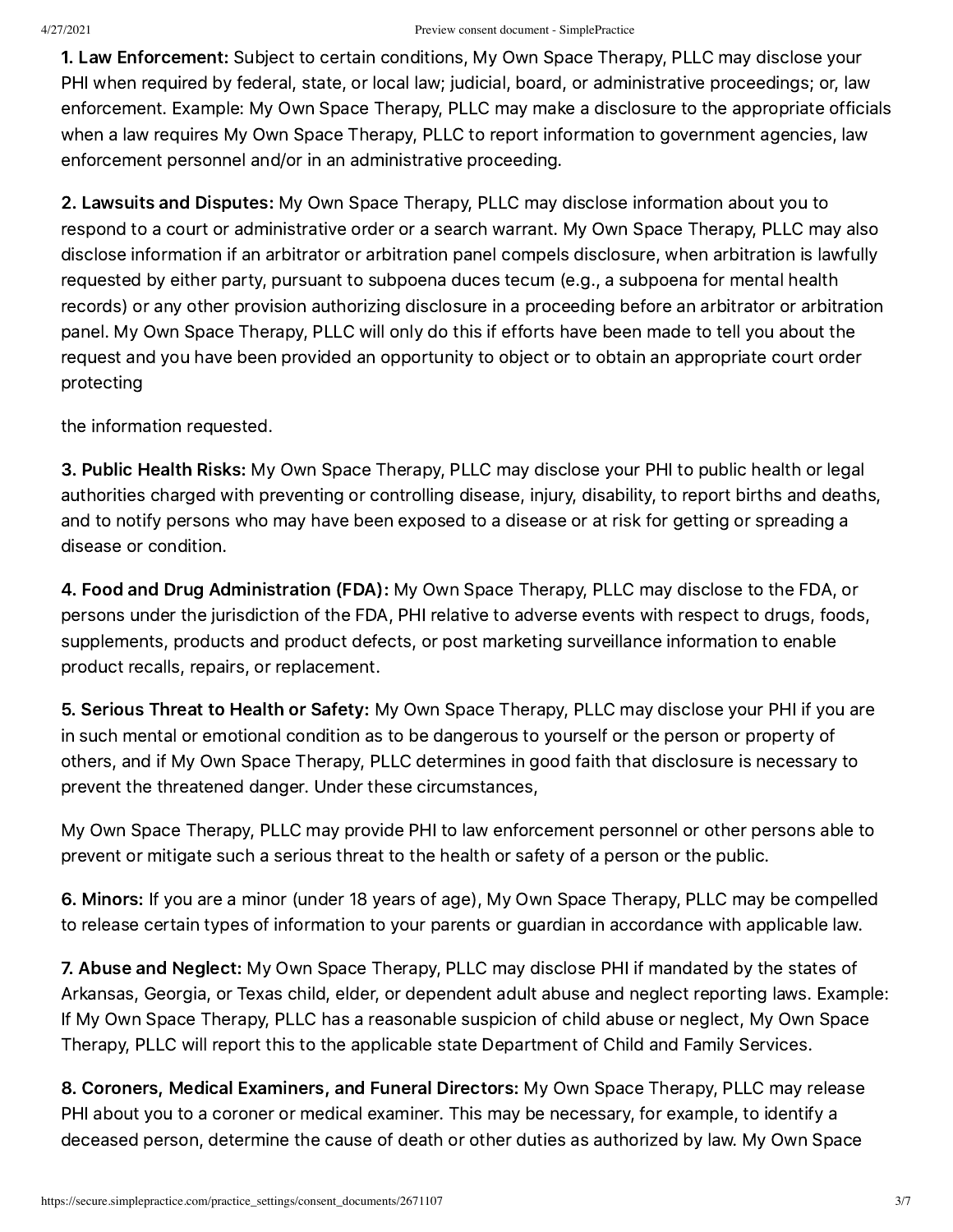1. Law Enforcement: Subject to certain conditions, My Own Space Therapy, PLLC may disclose your PHI when required by federal, state, or local law; judicial, board, or administrative proceedings; or, law enforcement. Example: My Own Space Therapy, PLLC may make a disclosure to the appropriate officials when a law requires My Own Space Therapy, PLLC to report information to government agencies, law enforcement personnel and/or in an administrative proceeding.

2. Lawsuits and Disputes: My Own Space Therapy, PLLC may disclose information about you to respond to a court or administrative order or a search warrant. My Own Space Therapy, PLLC may also disclose information if an arbitrator or arbitration panel compels disclosure, when arbitration is lawfully requested by either party, pursuant to subpoena duces tecum (e.g., a subpoena for mental health records) or any other provision authorizing disclosure in a proceeding before an arbitrator or arbitration panel. My Own Space Therapy, PLLC will only do this if efforts have been made to tell you about the request and you have been provided an opportunity to object or to obtain an appropriate court order protecting

the information requested.

3. Public Health Risks: My Own Space Therapy, PLLC may disclose your PHI to public health or legal authorities charged with preventing or controlling disease, injury, disability, to report births and deaths, and to notify persons who may have been exposed to a disease or at risk for getting or spreading a disease or condition.

4. Food and Drug Administration (FDA): My Own Space Therapy, PLLC may disclose to the FDA, or persons under the jurisdiction of the FDA, PHI relative to adverse events with respect to drugs, foods, supplements, products and product defects, or post marketing surveillance information to enable product recalls, repairs, or replacement.

5. Serious Threat to Health or Safety: My Own Space Therapy, PLLC may disclose your PHI if you are in such mental or emotional condition as to be dangerous to yourself or the person or property of others, and if My Own Space Therapy, PLLC determines in good faith that disclosure is necessary to prevent the threatened danger. Under these circumstances,

My Own Space Therapy, PLLC may provide PHI to law enforcement personnel or other persons able to prevent or mitigate such a serious threat to the health or safety of a person or the public.

6. Minors: If you are a minor (under 18 years of age), My Own Space Therapy, PLLC may be compelled to release certain types of information to your parents or guardian in accordance with applicable law.

7. Abuse and Neglect: My Own Space Therapy, PLLC may disclose PHI if mandated by the states of Arkansas, Georgia, or Texas child, elder, or dependent adult abuse and neglect reporting laws. Example: If My Own Space Therapy, PLLC has a reasonable suspicion of child abuse or neglect, My Own Space Therapy, PLLC will report this to the applicable state Department of Child and Family Services.

8. Coroners, Medical Examiners, and Funeral Directors: My Own Space Therapy, PLLC may release PHI about you to a coroner or medical examiner. This may be necessary, for example, to identify a deceased person, determine the cause of death or other duties as authorized by law. My Own Space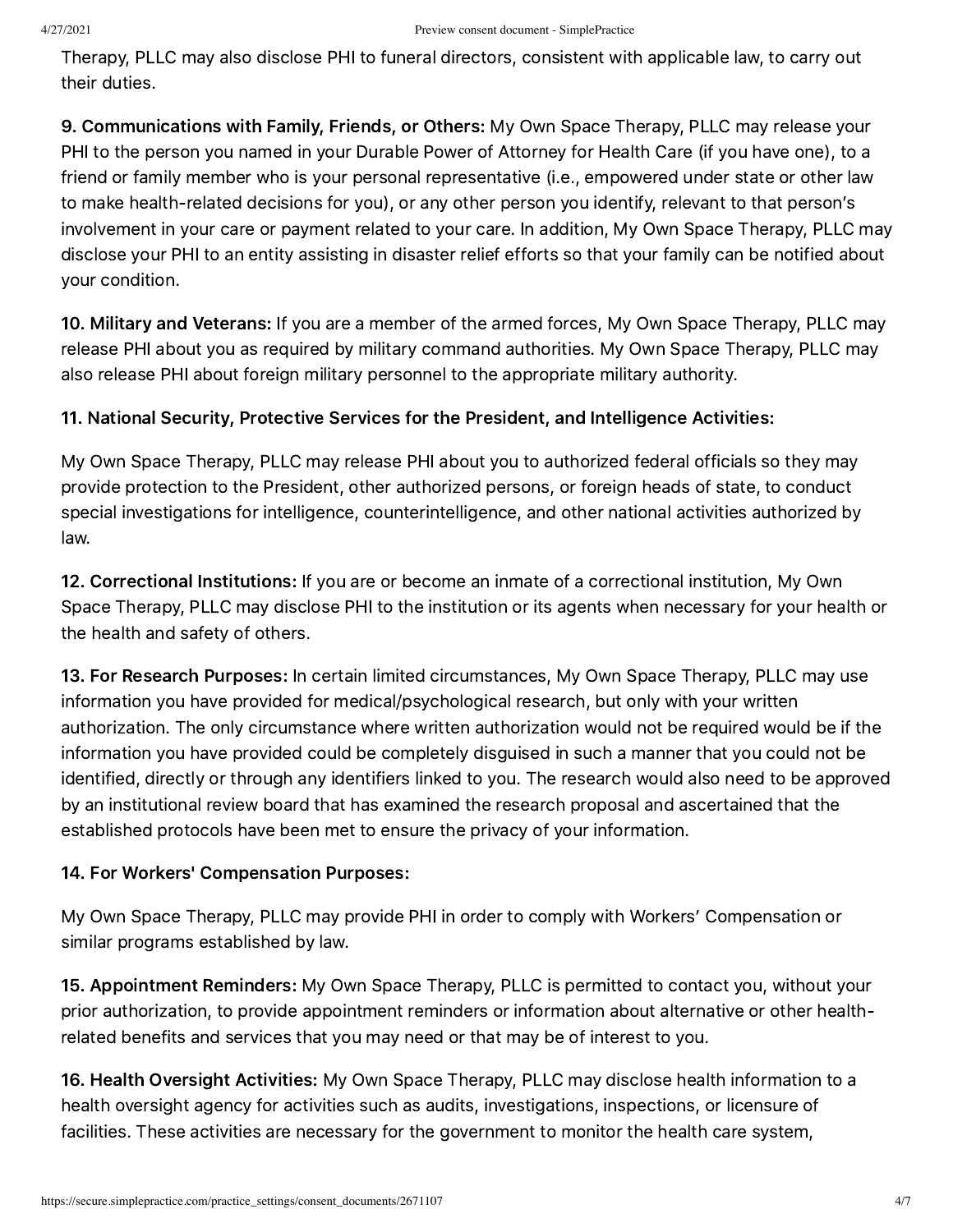Therapy, PLLC may also disclose PHI to funeral directors, consistent with applicable law, to carry out their duties.

9. Communications with Family, Friends, or Others: My Own Space Therapy, PLLC may release your PHI to the person you named in your Durable Power of Attorney for Health Care (if you have one), to a friend or family member who is your personal representative (i.e., empowered under state or other law to make health-related decisions for you), or any other person you identify, relevant to that person's involvement in your care or payment related to your care. In addition, My Own Space Therapy, PLLC may disclose your PHI to an entity assisting in disaster relief efforts so that your family can be notified about your condition.

10. Military and Veterans: If you are a member of the armed forces, My Own Space Therapy, PLLC may release PHI about you as required by military command authorities. My Own Space Therapy, PLLC may also release PHI about foreign military personnel to the appropriate military authority.

## 11. National Security, Protective Services for the President, and Intelligence Activities:

My Own Space Therapy, PLLC may release PHI about you to authorized federal officials so they may provide protection to the President, other authorized persons, or foreign heads of state, to conduct special investigations for intelligence, counterintelligence, and other national activities authorized by law.

12. Correctional Institutions: If you are or become an inmate of a correctional institution, My Own Space Therapy, PLLC may disclose PHI to the institution or its agents when necessary for your health or the health and safety of others.

13. For Research Purposes: In certain limited circumstances, My Own Space Therapy, PLLC may use information you have provided for medical/psychological research, but only with your written authorization. The only circumstance where written authorization would not be required would be if the information you have provided could be completely disguised in such a manner that you could not be identified, directly or through any identifiers linked to you. The research would also need to be approved by an institutional review board that has examined the research proposal and ascertained that the established protocols have been met to ensure the privacy of your information.

### 14. For Workers' Compensation Purposes:

My Own Space Therapy, PLLC may provide PHI in order to comply with Workers' Compensation or similar programs established by law.

15. Appointment Reminders: My Own Space Therapy, PLLC is permitted to contact you, without your prior authorization, to provide appointment reminders or information about alternative or other healthrelated benefits and services that you may need or that may be of interest to you.

16. Health Oversight Activities: My Own Space Therapy, PLLC may disclose health information to a health oversight agency for activities such as audits, investigations, inspections, or licensure of facilities. These activities are necessary for the government to monitor the health care system,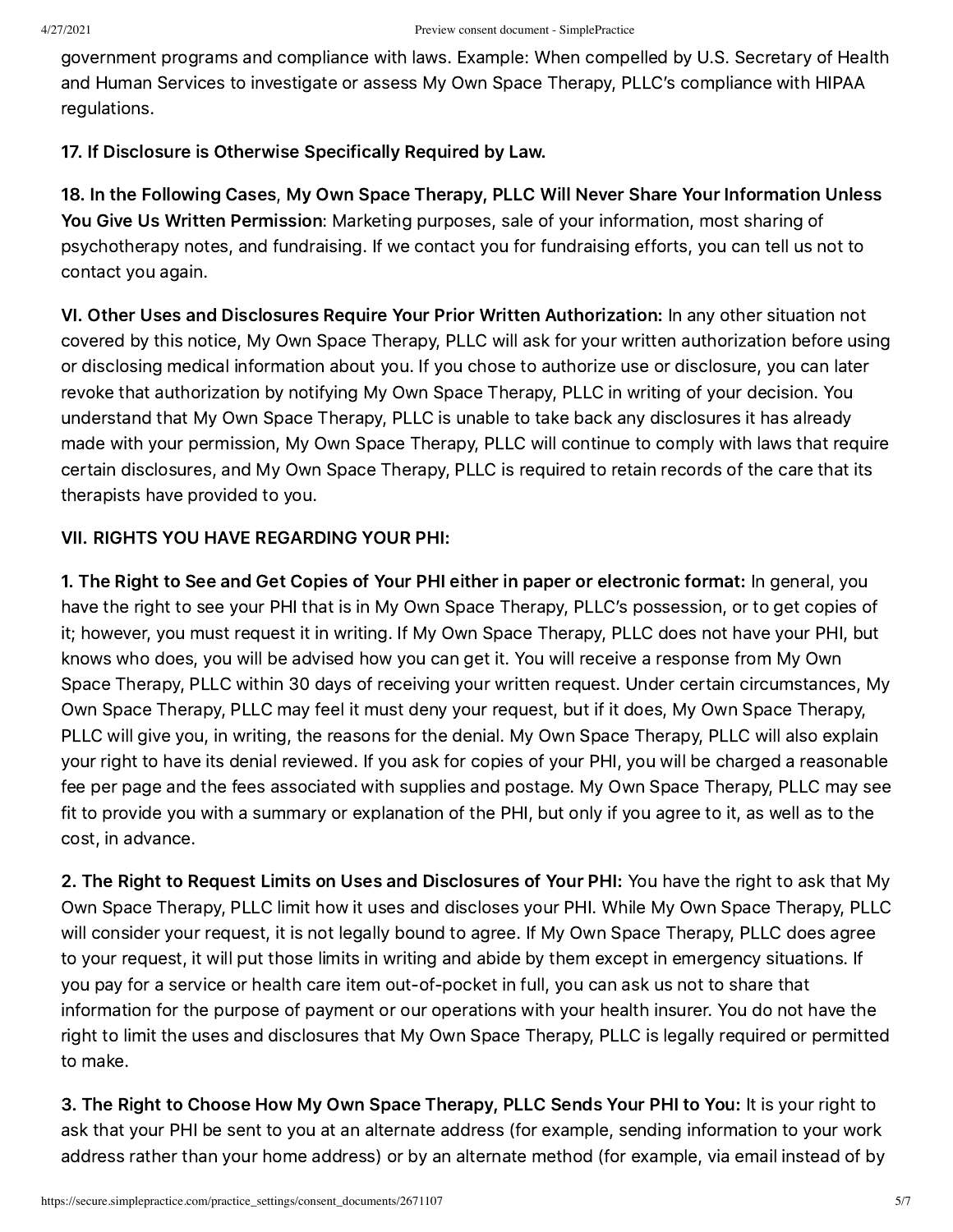government programs and compliance with laws. Example: When compelled by U.S. Secretary of Health and Human Services to investigate or assess My Own Space Therapy, PLLC's compliance with HIPAA regulations.

17. If Disclosure is Otherwise Specifically Required by Law.

18. In the Following Cases, My Own Space Therapy, PLLC Will Never Share Your Information Unless You Give Us Written Permission: Marketing purposes, sale of your information, most sharing of psychotherapy notes, and fundraising. If we contact you for fundraising efforts, you can tell us not to contact you again.

VI. Other Uses and Disclosures Require Your Prior Written Authorization: In any other situation not covered by this notice, My Own Space Therapy, PLLC will ask for your written authorization before using or disclosing medical information about you. If you chose to authorize use or disclosure, you can later revoke that authorization by notifying My Own Space Therapy, PLLC in writing of your decision. You understand that My Own Space Therapy, PLLC is unable to take back any disclosures it has already made with your permission, My Own Space Therapy, PLLC will continue to comply with laws that require certain disclosures, and My Own Space Therapy, PLLC is required to retain records of the care that its therapists have provided to you.

## VII. RIGHTS YOU HAVE REGARDING YOUR PHI:

1. The Right to See and Get Copies of Your PHI either in paper or electronic format: In general, you have the right to see your PHI that is in My Own Space Therapy, PLLC's possession, or to get copies of it; however, you must request it in writing. If My Own Space Therapy, PLLC does not have your PHI, but knows who does, you will be advised how you can get it. You will receive a response from My Own Space Therapy, PLLC within 30 days of receiving your written request. Under certain circumstances, My Own Space Therapy, PLLC may feel it must deny your request, but if it does, My Own Space Therapy, PLLC will give you, in writing, the reasons for the denial. My Own Space Therapy, PLLC will also explain your right to have its denial reviewed. If you ask for copies of your PHI, you will be charged a reasonable fee per page and the fees associated with supplies and postage. My Own Space Therapy, PLLC may see fit to provide you with a summary or explanation of the PHI, but only if you agree to it, as well as to the cost, in advance.

2. The Right to Request Limits on Uses and Disclosures of Your PHI: You have the right to ask that My Own Space Therapy, PLLC limit how it uses and discloses your PHI. While My Own Space Therapy, PLLC will consider your request, it is not legally bound to agree. If My Own Space Therapy, PLLC does agree to your request, it will put those limits in writing and abide by them except in emergency situations. If you pay for a service or health care item out-of-pocket in full, you can ask us not to share that information for the purpose of payment or our operations with your health insurer. You do not have the right to limit the uses and disclosures that My Own Space Therapy, PLLC is legally required or permitted to make.

3. The Right to Choose How My Own Space Therapy, PLLC Sends Your PHI to You: It is your right to ask that your PHI be sent to you at an alternate address (for example, sending information to your work address rather than your home address) or by an alternate method (for example, via email instead of by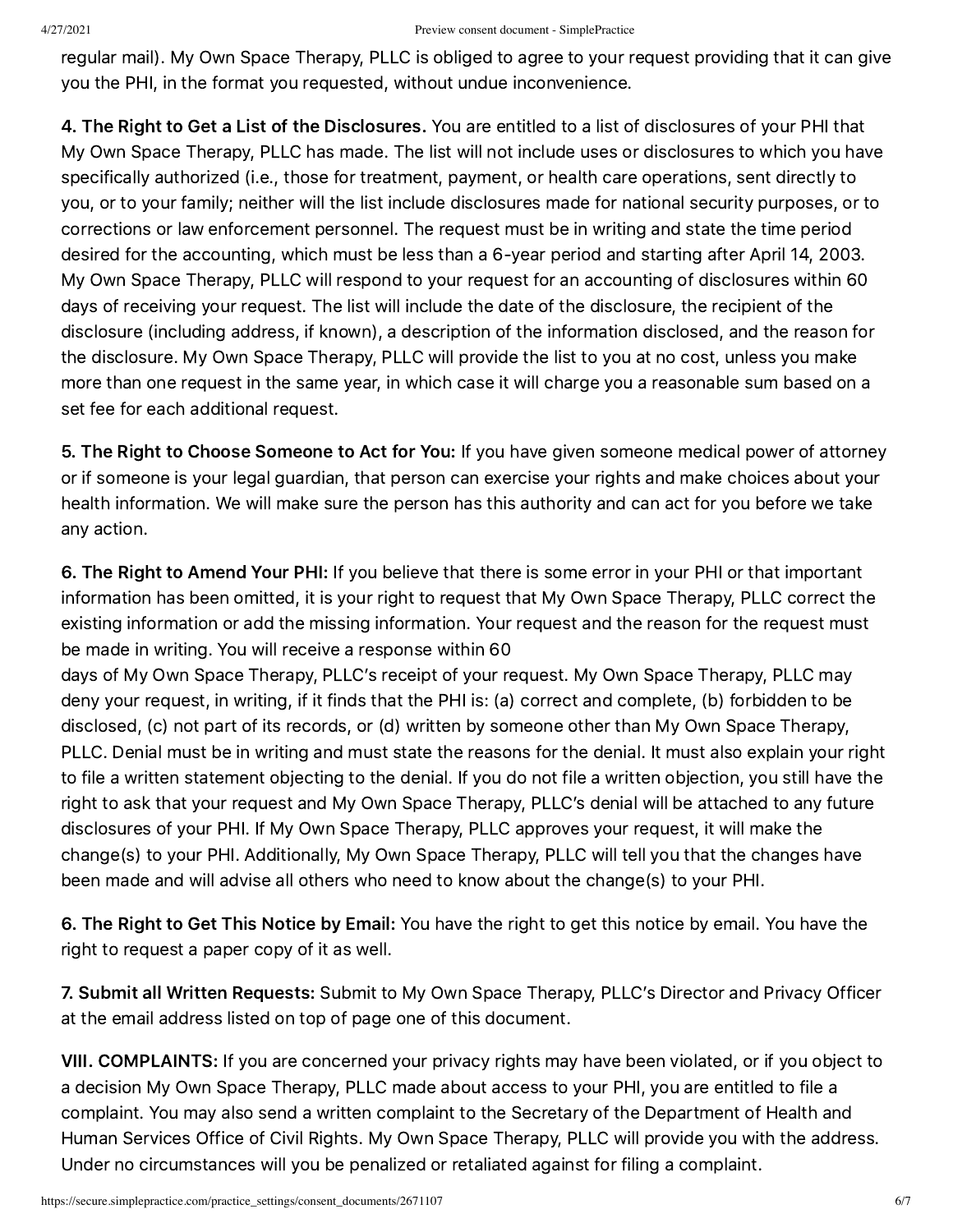regular mail). My Own Space Therapy, PLLC is obliged to agree to your request providing that it can give you the PHI, in the format you requested, without undue inconvenience.

4. The Right to Get a List of the Disclosures. You are entitled to a list of disclosures of your PHI that My Own Space Therapy, PLLC has made. The list will not include uses or disclosures to which you have specifically authorized (i.e., those for treatment, payment, or health care operations, sent directly to you, or to your family; neither will the list include disclosures made for national security purposes, or to corrections or law enforcement personnel. The request must be in writing and state the time period desired for the accounting, which must be less than a 6-year period and starting after April 14, 2003. My Own Space Therapy, PLLC will respond to your request for an accounting of disclosures within 60 days of receiving your request. The list will include the date of the disclosure, the recipient of the disclosure (including address, if known), a description of the information disclosed, and the reason for the disclosure. My Own Space Therapy, PLLC will provide the list to you at no cost, unless you make more than one request in the same year, in which case it will charge you a reasonable sum based on a set fee for each additional request.

5. The Right to Choose Someone to Act for You: If you have given someone medical power of attorney or if someone is your legal guardian, that person can exercise your rights and make choices about your health information. We will make sure the person has this authority and can act for you before we take any action.

6. The Right to Amend Your PHI: If you believe that there is some error in your PHI or that important information has been omitted, it is your right to request that My Own Space Therapy, PLLC correct the existing information or add the missing information. Your request and the reason for the request must be made in writing. You will receive a response within 60

days of My Own Space Therapy, PLLC's receipt of your request. My Own Space Therapy, PLLC may deny your request, in writing, if it finds that the PHI is: (a) correct and complete, (b) forbidden to be disclosed, (c) not part of its records, or (d) written by someone other than My Own Space Therapy, PLLC. Denial must be in writing and must state the reasons for the denial. It must also explain your right to file a written statement objecting to the denial. If you do not file a written objection, you still have the right to ask that your request and My Own Space Therapy, PLLC's denial will be attached to any future disclosures of your PHI. If My Own Space Therapy, PLLC approves your request, it will make the change(s) to your PHI. Additionally, My Own Space Therapy, PLLC will tell you that the changes have been made and will advise all others who need to know about the change(s) to your PHI.

6. The Right to Get This Notice by Email: You have the right to get this notice by email. You have the right to request a paper copy of it as well.

7. Submit all Written Requests: Submit to My Own Space Therapy, PLLC's Director and Privacy Officer at the email address listed on top of page one of this document.

VIII. COMPLAINTS: If you are concerned your privacy rights may have been violated, or if you object to a decision My Own Space Therapy, PLLC made about access to your PHI, you are entitled to file a complaint. You may also send a written complaint to the Secretary of the Department of Health and Human Services Office of Civil Rights. My Own Space Therapy, PLLC will provide you with the address. Under no circumstances will you be penalized or retaliated against for filing a complaint.